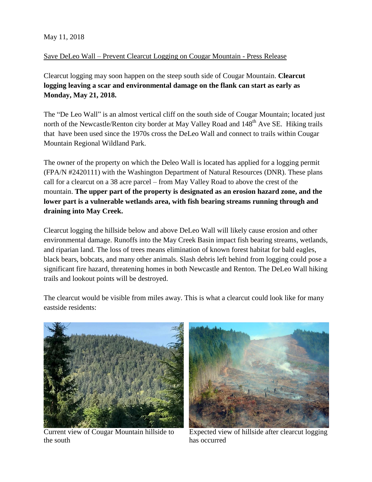## May 11, 2018

## Save DeLeo Wall – Prevent Clearcut Logging on Cougar Mountain - Press Release

Clearcut logging may soon happen on the steep south side of Cougar Mountain. **Clearcut logging leaving a scar and environmental damage on the flank can start as early as Monday, May 21, 2018.**

The "De Leo Wall" is an almost vertical cliff on the south side of Cougar Mountain; located just north of the Newcastle/Renton city border at May Valley Road and 148<sup>th</sup> Ave SE. Hiking trails that have been used since the 1970s cross the DeLeo Wall and connect to trails within Cougar Mountain Regional Wildland Park.

The owner of the property on which the Deleo Wall is located has applied for a logging permit (FPA/N #2420111) with the Washington Department of Natural Resources (DNR). These plans call for a clearcut on a 38 acre parcel – from May Valley Road to above the crest of the mountain. **The upper part of the property is designated as an erosion hazard zone, and the lower part is a vulnerable wetlands area, with fish bearing streams running through and draining into May Creek.** 

Clearcut logging the hillside below and above DeLeo Wall will likely cause erosion and other environmental damage. Runoffs into the May Creek Basin impact fish bearing streams, wetlands, and riparian land. The loss of trees means elimination of known forest habitat for bald eagles, black bears, bobcats, and many other animals. Slash debris left behind from logging could pose a significant fire hazard, threatening homes in both Newcastle and Renton. The DeLeo Wall hiking trails and lookout points will be destroyed.

The clearcut would be visible from miles away. This is what a clearcut could look like for many eastside residents:



Current view of Cougar Mountain hillside to the south



Expected view of hillside after clearcut logging has occurred